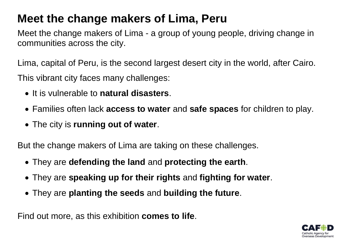## **Meet the change makers of Lima, Peru**

Meet the change makers of Lima - a group of young people, driving change in communities across the city.

Lima, capital of Peru, is the second largest desert city in the world, after Cairo. This vibrant city faces many challenges:

- It is vulnerable to **natural disasters**.
- Families often lack **access to water** and **safe spaces** for children to play.
- The city is **running out of water**.

But the change makers of Lima are taking on these challenges.

- They are **defending the land** and **protecting the earth**.
- They are **speaking up for their rights** and **fighting for water**.
- They are **planting the seeds** and **building the future**.

Find out more, as this exhibition **comes to life**.

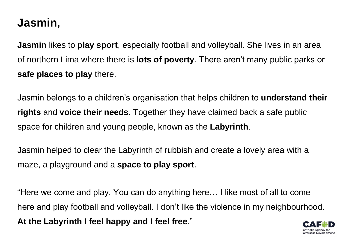## **Jasmin,**

**Jasmin** likes to **play sport**, especially football and volleyball. She lives in an area of northern Lima where there is **lots of poverty**. There aren't many public parks or **safe places to play** there.

Jasmin belongs to a children's organisation that helps children to **understand their rights** and **voice their needs**. Together they have claimed back a safe public space for children and young people, known as the **Labyrinth**.

Jasmin helped to clear the Labyrinth of rubbish and create a lovely area with a maze, a playground and a **space to play sport**.

"Here we come and play. You can do anything here… I like most of all to come here and play football and volleyball. I don't like the violence in my neighbourhood. **At the Labyrinth I feel happy and I feel free**."

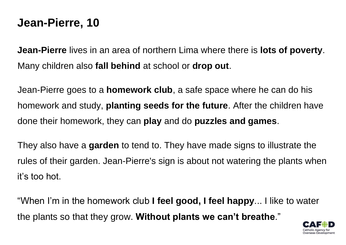#### **Jean-Pierre, 10**

**Jean-Pierre** lives in an area of northern Lima where there is **lots of poverty**. Many children also **fall behind** at school or **drop out**.

Jean-Pierre goes to a **homework club**, a safe space where he can do his homework and study, **planting seeds for the future**. After the children have done their homework, they can **play** and do **puzzles and games**.

They also have a **garden** to tend to. They have made signs to illustrate the rules of their garden. Jean-Pierre's sign is about not watering the plants when it's too hot.

"When I'm in the homework club **I feel good, I feel happy**... I like to water the plants so that they grow. **Without plants we can't breathe**."

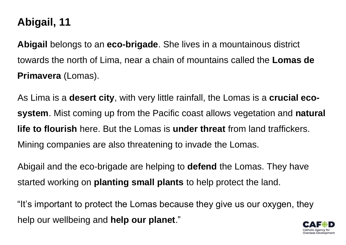## **Abigail, 11**

**Abigail** belongs to an **eco-brigade**. She lives in a mountainous district towards the north of Lima, near a chain of mountains called the **Lomas de Primavera** (Lomas).

As Lima is a **desert city**, with very little rainfall, the Lomas is a **crucial ecosystem**. Mist coming up from the Pacific coast allows vegetation and **natural life to flourish** here. But the Lomas is **under threat** from land traffickers. Mining companies are also threatening to invade the Lomas.

Abigail and the eco-brigade are helping to **defend** the Lomas. They have started working on **planting small plants** to help protect the land.

"It's important to protect the Lomas because they give us our oxygen, they help our wellbeing and **help our planet**."

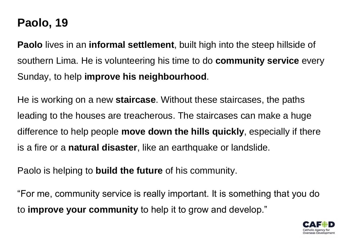## **Paolo, 19**

**Paolo** lives in an **informal settlement**, built high into the steep hillside of southern Lima. He is volunteering his time to do **community service** every Sunday, to help **improve his neighbourhood**.

He is working on a new **staircase**. Without these staircases, the paths leading to the houses are treacherous. The staircases can make a huge difference to help people **move down the hills quickly**, especially if there is a fire or a **natural disaster**, like an earthquake or landslide.

Paolo is helping to **build the future** of his community.

"For me, community service is really important. It is something that you do to **improve your community** to help it to grow and develop."